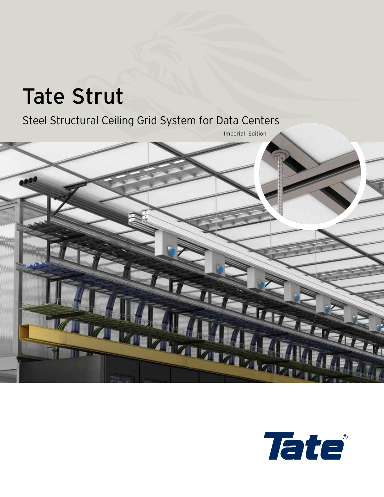# Tate Strut

Steel Structural Ceiling Grid System for Data Centers



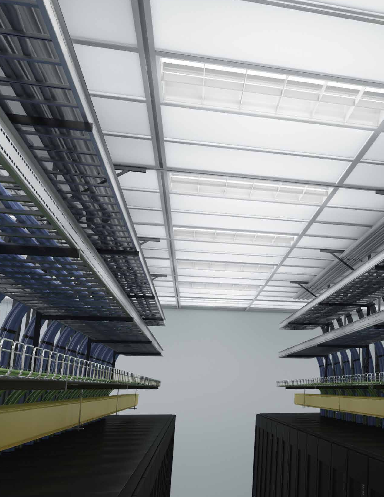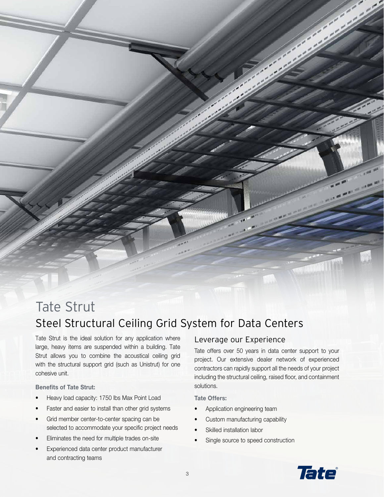

### Tate Strut Steel Structural Ceiling Grid System for Data Centers

Tate Strut is the ideal solution for any application where large, heavy items are suspended within a building. Tate Strut allows you to combine the acoustical ceiling grid with the structural support grid (such as Unistrut) for one cohesive unit.

Benefits of Tate Strut:

- Heavy load capacity: 1750 lbs Max Point Load
- Faster and easier to install than other grid systems
- Grid member center-to-center spacing can be selected to accommodate your specific project needs
- Eliminates the need for multiple trades on-site
- Experienced data center product manufacturer and contracting teams

### Leverage our Experience

Tate offers over 50 years in data center support to your project. Our extensive dealer network of experienced contractors can rapidly support all the needs of your project including the structural ceiling, raised floor, and containment solutions.

Tate Offers:

- Application engineering team
- Custom manufacturing capability
- Skilled installation labor
- Single source to speed construction

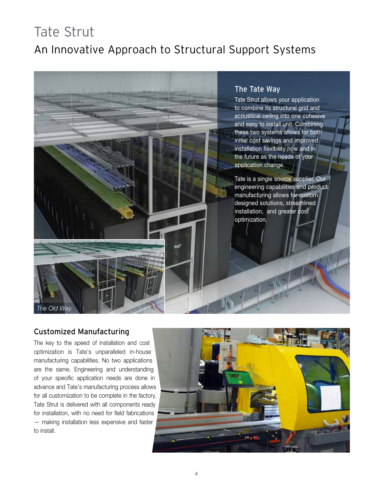### Tate Strut An Innovative Approach to Structural Support Systems



### Customized Manufacturing

The key to the speed of installation and cost optimization is Tate's unparalleled in-house manufacturing capabilities. No two applications are the same. Engineering and understanding of your specific application needs are done in advance and Tate's manufacturing process allows for all customization to be complete in the factory. Tate Strut is delivered with all components ready for installation, with no need for field fabrications — making installation less expensive and faster to install.

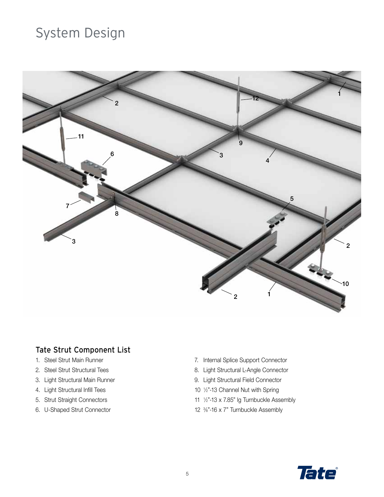### System Design



### Tate Strut Component List

- 1. Steel Strut Main Runner
- 2. Steel Strut Structural Tees
- 3. Light Structural Main Runner
- 4. Light Structural Infill Tees
- 5. Strut Straight Connectors
- 6. U-Shaped Strut Connector
- 7. Internal Splice Support Connector
- 8. Light Structural L-Angle Connector
- 9. Light Structural Field Connector
- <sup>1</sup> ⁄2"-13 Channel Nut with Spring
- <sup>1</sup> ⁄2"-13 x 7.85" lg Turnbuckle Assembly
- <sup>3</sup> ⁄8"-16 x 7" Turnbuckle Assembly

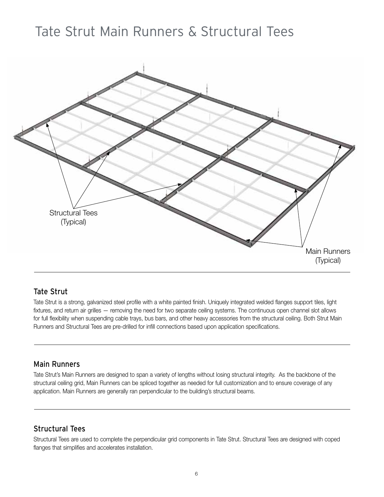### Tate Strut Main Runners & Structural Tees



#### Tate Strut

Tate Strut is a strong, galvanized steel profile with a white painted finish. Uniquely integrated welded flanges support tiles, light fixtures, and return air grilles — removing the need for two separate ceiling systems. The continuous open channel slot allows for full flexibility when suspending cable trays, bus bars, and other heavy accessories from the structural ceiling. Both Strut Main Runners and Structural Tees are pre-drilled for infill connections based upon application specifications.

### Main Runners

Tate Strut's Main Runners are designed to span a variety of lengths without losing structural integrity. As the backbone of the structural ceiling grid, Main Runners can be spliced together as needed for full customization and to ensure coverage of any application. Main Runners are generally ran perpendicular to the building's structural beams.

### Structural Tees

Structural Tees are used to complete the perpendicular grid components in Tate Strut. Structural Tees are designed with coped flanges that simplifies and accelerates installation.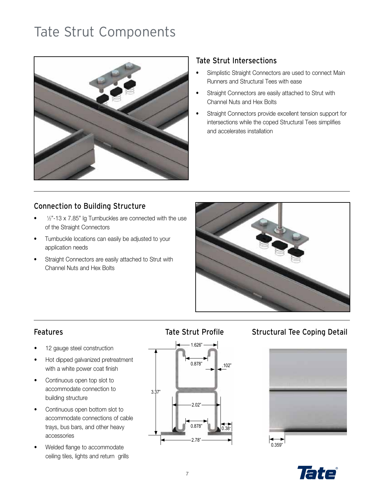### Tate Strut Components



### Tate Strut Intersections

- Simplistic Straight Connectors are used to connect Main Runners and Structural Tees with ease
- Straight Connectors are easily attached to Strut with Channel Nuts and Hex Bolts
- Straight Connectors provide excellent tension support for intersections while the coped Structural Tees simplifies and accelerates installation

### Connection to Building Structure

- $\bullet$   $\frac{1}{2}$ "-13 x 7.85" lg Turnbuckles are connected with the use of the Straight Connectors
- Turnbuckle locations can easily be adjusted to your application needs
- Straight Connectors are easily attached to Strut with Channel Nuts and Hex Bolts



- 12 gauge steel construction
- Hot dipped galvanized pretreatment with a white power coat finish
- Continuous open top slot to accommodate connection to building structure
- Continuous open bottom slot to accommodate connections of cable trays, bus bars, and other heavy accessories
- Welded flange to accommodate ceiling tiles, lights and return grills



### Features Tate Strut Profile Structural Tee Coping Detail



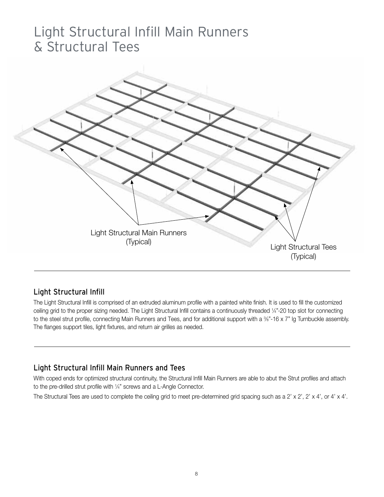### Light Structural Infill Main Runners & Structural Tees



### Light Structural Infill

The Light Structural Infill is comprised of an extruded aluminum profile with a painted white finish. It is used to fill the customized ceiling grid to the proper sizing needed. The Light Structural Infill contains a continuously threaded 1 ⁄4"-20 top slot for connecting to the steel strut profile, connecting Main Runners and Tees, and for additional support with a %"-16 x 7" Ig Turnbuckle assembly. The flanges support tiles, light fixtures, and return air grilles as needed.

### Light Structural Infill Main Runners and Tees

With coped ends for optimized structural continuity, the Structural Infill Main Runners are able to abut the Strut profiles and attach to the pre-drilled strut profile with 1/4" screws and a L-Angle Connector.

The Structural Tees are used to complete the ceiling grid to meet pre-determined grid spacing such as a 2' x 2', 2' x 4', or 4' x 4'.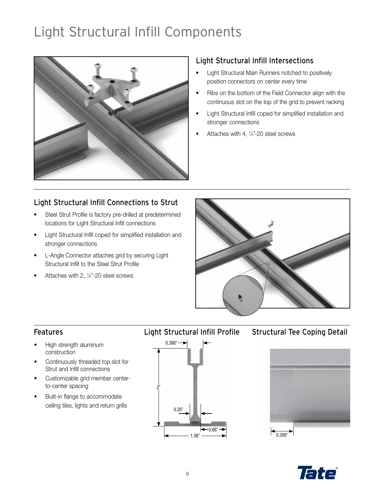## Light Structural Infill Components



### Light Structural Infill Intersections

- Light Structural Main Runners notched to positively position connectors on center every time
- Ribs on the bottom of the Field Connector align with the continuous slot on the top of the grid to prevent racking
- Light Structural Infill coped for simplified installation and stronger connections
- Attaches with 4,  $\frac{1}{4}$ "-20 steel screws

### Light Structural Infill Connections to Strut

- Steel Strut Profile is factory pre-drilled at predetermined locations for Light Structural Infill connections
- Light Structural Infill coped for simplified installation and stronger connections
- L-Angle Connector attaches grid by securing Light Structural Infill to the Steel Strut Profile
- Attaches with 2,  $\frac{1}{4}$ "-20 steel screws



### Features

- High strength aluminum construction
- Continuously threaded top slot for Strut and Infill connections
- Customizable grid member centerto-center spacing
- Built-in flange to accommodate ceiling tiles, lights and return grills

### Light Structural Infill Profile



### Structural Tee Coping Detail



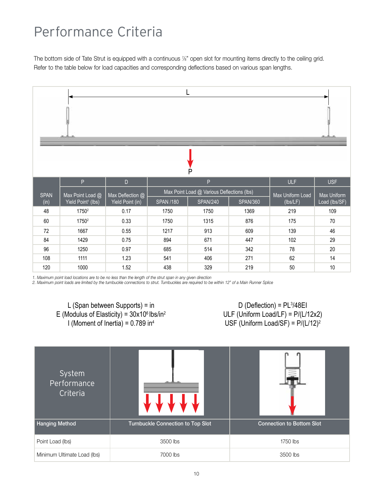### Performance Criteria

The bottom side of Tate Strut is equipped with a continuous 1/8" open slot for mounting items directly to the ceiling grid. Refer to the table below for load capacities and corresponding deflections based on various span lengths.



*1. Maximum point load locations are to be no less than the length of the strut span in any given direction*

*2. Maximum point loads are limited by the turnbuckle connections to strut. Turnbuckles are required to be within 12" of a Main Runner Splice*

### L (Span between Supports) = in E (Modulus of Elasticity) =  $30x10^6$  lbs/in<sup>2</sup> I (Moment of Inertia) =  $0.789$  in<sup>4</sup>

D (Deflection) =  $PL^3/48EI$ ULF (Uniform Load/LF) = P/(L/12x2) USF (Uniform Load/SF) = P/(L/12)<sup>2</sup>

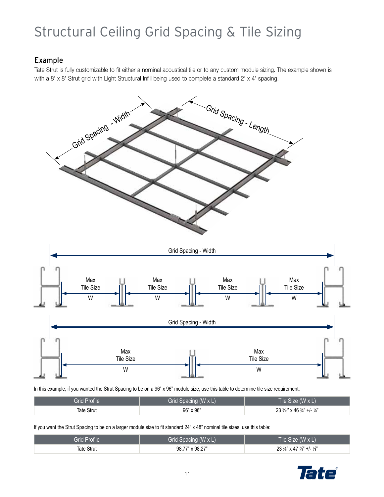## Structural Ceiling Grid Spacing & Tile Sizing

### Example

Tate Strut is fully customizable to fit either a nominal acoustical tile or to any custom module sizing. The example shown is with a 8' x 8' Strut grid with Light Structural Infill being used to complete a standard 2' x 4' spacing.



In this example, if you wanted the Strut Spacing to be on a 96" x 96" module size, use this table to determine tile size requirement:

| Grid Profile      | Grid Spacing (W x L) | Tile Size (W x L)                                             |
|-------------------|----------------------|---------------------------------------------------------------|
| <b>Tate Strut</b> | 96" x 96"            | $23\frac{3}{16}$ " x 46 $\frac{3}{4}$ " +/- 1/ <sub>8</sub> " |

If you want the Strut Spacing to be on a larger module size to fit standard 24" x 48" nominal tile sizes, use this table:

| Grid Profile'     | Grid Spacing (W x L)  | Tile Size (W x L)                               |
|-------------------|-----------------------|-------------------------------------------------|
| <b>Tate Strut</b> | .77" x 98.27"<br>98.7 | $47\frac{7}{8}$ +/- $\frac{1}{8}$<br>23 %" x 47 |